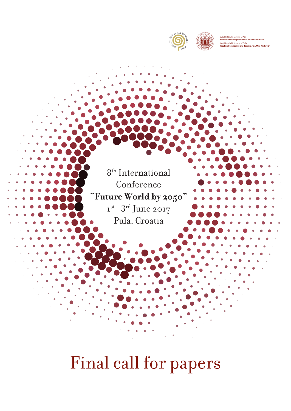

**D** 

**OUNDED IN 1965** 

JURAJ DOBRILA UNIVERSITY OF PULA

<sup>A</sup><sup>F</sup> <sup>C</sup>U<sup>L</sup>TYOFECONOMICSANDTOURS<sup>I</sup> <sup>M</sup>

Sveučilište Jurja Dobrile u Puli **Fakultet ekonomije i turizma "Dr. Mijo Mirković"** Juraj Dobrila University of Pula **Faculty of Economics and Tourism "Dr. Mijo Mirković"**

8th International Conference **"Future World by 2050"**  $1^{st}$  -3<sup>rd</sup> June 2017 Pula, Croatia

# Final call for papers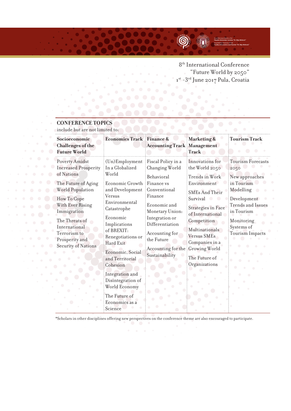

8th International Conference "Future World by 2050" 1st -3<sup>rd</sup> June 2017 Pula, Croatia

## **CONFERENCE TOPICS**

include but are not limited to:

| Socioeconomic<br><b>Challenges of the</b><br><b>Future World</b>                                                                                                                             | <b>Economics Track Finance &amp;</b>                                                                                                                                                            | <b>Accounting Track Management</b>                                                                                                                                                                                                          | <b>Marketing &amp;</b><br><b>Track</b>                                                                                                                                                                                                       | <b>Tourism Track</b>                                                                                                                                     |
|----------------------------------------------------------------------------------------------------------------------------------------------------------------------------------------------|-------------------------------------------------------------------------------------------------------------------------------------------------------------------------------------------------|---------------------------------------------------------------------------------------------------------------------------------------------------------------------------------------------------------------------------------------------|----------------------------------------------------------------------------------------------------------------------------------------------------------------------------------------------------------------------------------------------|----------------------------------------------------------------------------------------------------------------------------------------------------------|
| Poverty Amidst<br><b>Increased Prosperity</b><br>of Nations                                                                                                                                  | $(Un)$ Employment<br>In a Globalized<br>World                                                                                                                                                   | Fiscal Policy in a<br>Changing World<br>Behavioral<br>Finance vs<br>Conventional<br>Finance<br>Economic and<br>Monetary Union:<br>Integration or<br>Differentiation<br>Accounting for<br>the Future<br>Accounting for the<br>Sustainability | Innovations for<br>the World 2050                                                                                                                                                                                                            | <b>Tourism Forecasts</b><br>2050                                                                                                                         |
| The Future of Aging<br><b>World Population</b><br>How To Cope<br>With Ever Rising<br>Immigration<br>The Threats of<br>International<br>Terrorism to<br>Prosperity and<br>Security of Nations | Economic Growth<br>and Development<br>Versus<br>Environmental<br>Catastrophe<br>Economic<br>Implications<br>of BREXIT:<br>Renegotiations or<br>Hard Exit<br>Economic, Social<br>and Territorial |                                                                                                                                                                                                                                             | Trends in Work<br>Environment<br><b>SMEs And Their</b><br>Survival<br>$\bigcirc$<br><b>Strategies in Face</b><br>of International<br>Competition<br>Multinationals<br><b>Versus SMEs</b><br>Companies in a<br>Growing World<br>The Future of | New approaches<br>in Tourism<br>Modelling<br>Development<br><b>Trends</b> and Issues<br>in Tourism<br>Monitoring<br>Systems of<br><b>Tourism Impacts</b> |
|                                                                                                                                                                                              | Cohesion<br>Integration and<br>Disintegration of<br>World Economy<br>The Future of<br>Economics as a<br>Science                                                                                 |                                                                                                                                                                                                                                             | Organizations                                                                                                                                                                                                                                |                                                                                                                                                          |

\*Scholars in other disciplines offering new perspectives on the conference theme are also encouraged to participate.